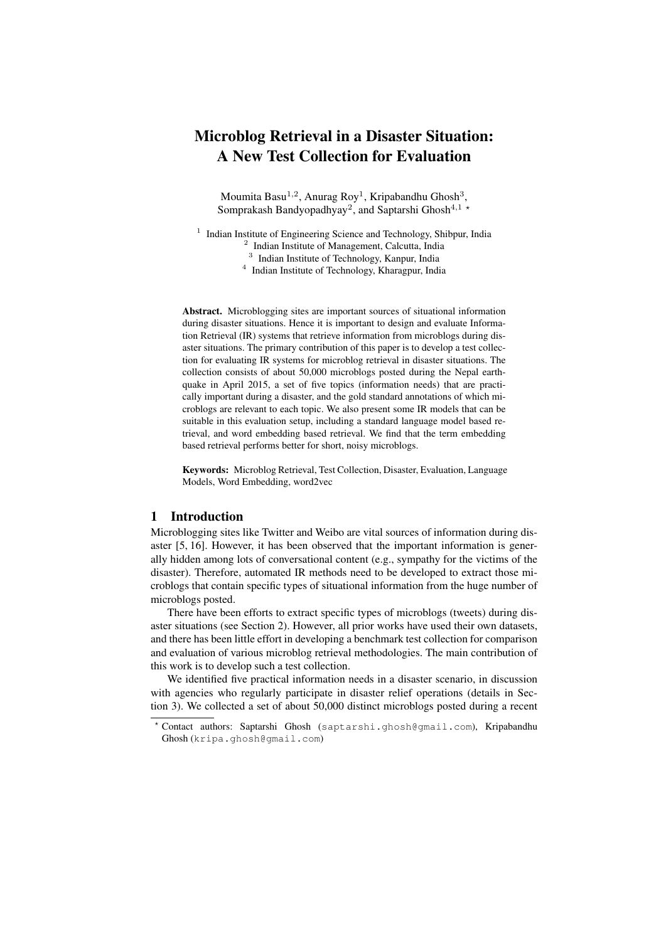# Microblog Retrieval in a Disaster Situation: A New Test Collection for Evaluation

Moumita Basu<sup>1,2</sup>, Anurag Roy<sup>1</sup>, Kripabandhu Ghosh<sup>3</sup>, Somprakash Bandyopadhyay<sup>2</sup>, and Saptarshi Ghosh<sup>4,1</sup><sup>\*</sup>

<sup>1</sup> Indian Institute of Engineering Science and Technology, Shibpur, India

<sup>2</sup> Indian Institute of Management, Calcutta, India

<sup>3</sup> Indian Institute of Technology, Kanpur, India

4 Indian Institute of Technology, Kharagpur, India

Abstract. Microblogging sites are important sources of situational information during disaster situations. Hence it is important to design and evaluate Information Retrieval (IR) systems that retrieve information from microblogs during disaster situations. The primary contribution of this paper is to develop a test collection for evaluating IR systems for microblog retrieval in disaster situations. The collection consists of about 50,000 microblogs posted during the Nepal earthquake in April 2015, a set of five topics (information needs) that are practically important during a disaster, and the gold standard annotations of which microblogs are relevant to each topic. We also present some IR models that can be suitable in this evaluation setup, including a standard language model based retrieval, and word embedding based retrieval. We find that the term embedding based retrieval performs better for short, noisy microblogs.

Keywords: Microblog Retrieval, Test Collection, Disaster, Evaluation, Language Models, Word Embedding, word2vec

# 1 Introduction

Microblogging sites like Twitter and Weibo are vital sources of information during disaster [5, 16]. However, it has been observed that the important information is generally hidden among lots of conversational content (e.g., sympathy for the victims of the disaster). Therefore, automated IR methods need to be developed to extract those microblogs that contain specific types of situational information from the huge number of microblogs posted.

There have been efforts to extract specific types of microblogs (tweets) during disaster situations (see Section 2). However, all prior works have used their own datasets, and there has been little effort in developing a benchmark test collection for comparison and evaluation of various microblog retrieval methodologies. The main contribution of this work is to develop such a test collection.

We identified five practical information needs in a disaster scenario, in discussion with agencies who regularly participate in disaster relief operations (details in Section 3). We collected a set of about 50,000 distinct microblogs posted during a recent

<sup>?</sup> Contact authors: Saptarshi Ghosh (saptarshi.ghosh@gmail.com), Kripabandhu Ghosh (kripa.ghosh@gmail.com)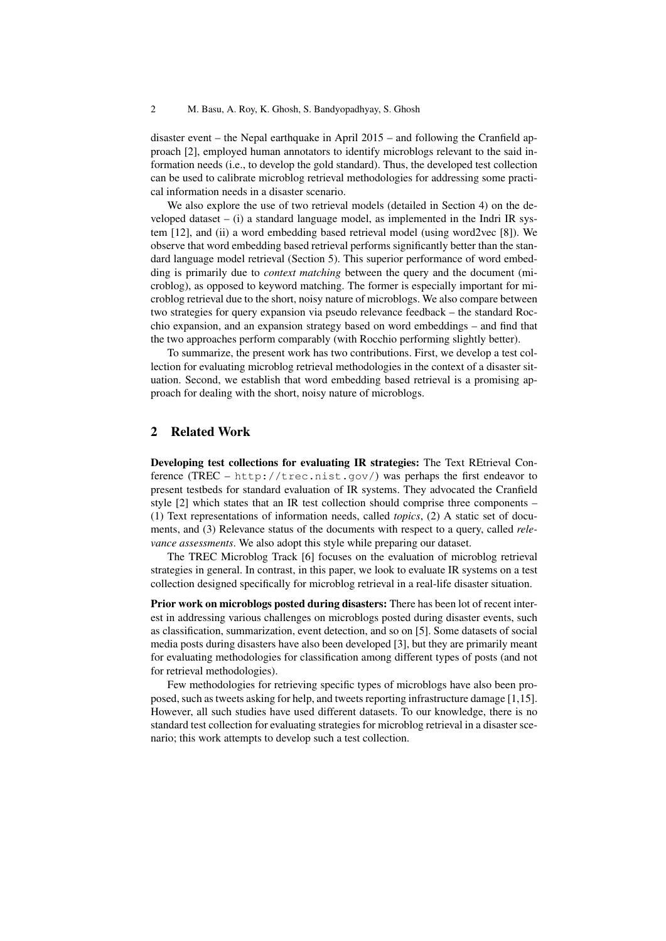disaster event – the Nepal earthquake in April 2015 – and following the Cranfield approach [2], employed human annotators to identify microblogs relevant to the said information needs (i.e., to develop the gold standard). Thus, the developed test collection can be used to calibrate microblog retrieval methodologies for addressing some practical information needs in a disaster scenario.

We also explore the use of two retrieval models (detailed in Section 4) on the developed dataset  $-$  (i) a standard language model, as implemented in the Indri IR system [12], and (ii) a word embedding based retrieval model (using word2vec [8]). We observe that word embedding based retrieval performs significantly better than the standard language model retrieval (Section 5). This superior performance of word embedding is primarily due to *context matching* between the query and the document (microblog), as opposed to keyword matching. The former is especially important for microblog retrieval due to the short, noisy nature of microblogs. We also compare between two strategies for query expansion via pseudo relevance feedback – the standard Rocchio expansion, and an expansion strategy based on word embeddings – and find that the two approaches perform comparably (with Rocchio performing slightly better).

To summarize, the present work has two contributions. First, we develop a test collection for evaluating microblog retrieval methodologies in the context of a disaster situation. Second, we establish that word embedding based retrieval is a promising approach for dealing with the short, noisy nature of microblogs.

## 2 Related Work

Developing test collections for evaluating IR strategies: The Text REtrieval Conference (TREC – http://trec.nist.gov/) was perhaps the first endeavor to present testbeds for standard evaluation of IR systems. They advocated the Cranfield style [2] which states that an IR test collection should comprise three components – (1) Text representations of information needs, called *topics*, (2) A static set of documents, and (3) Relevance status of the documents with respect to a query, called *relevance assessments*. We also adopt this style while preparing our dataset.

The TREC Microblog Track [6] focuses on the evaluation of microblog retrieval strategies in general. In contrast, in this paper, we look to evaluate IR systems on a test collection designed specifically for microblog retrieval in a real-life disaster situation.

Prior work on microblogs posted during disasters: There has been lot of recent interest in addressing various challenges on microblogs posted during disaster events, such as classification, summarization, event detection, and so on [5]. Some datasets of social media posts during disasters have also been developed [3], but they are primarily meant for evaluating methodologies for classification among different types of posts (and not for retrieval methodologies).

Few methodologies for retrieving specific types of microblogs have also been proposed, such as tweets asking for help, and tweets reporting infrastructure damage [1,15]. However, all such studies have used different datasets. To our knowledge, there is no standard test collection for evaluating strategies for microblog retrieval in a disaster scenario; this work attempts to develop such a test collection.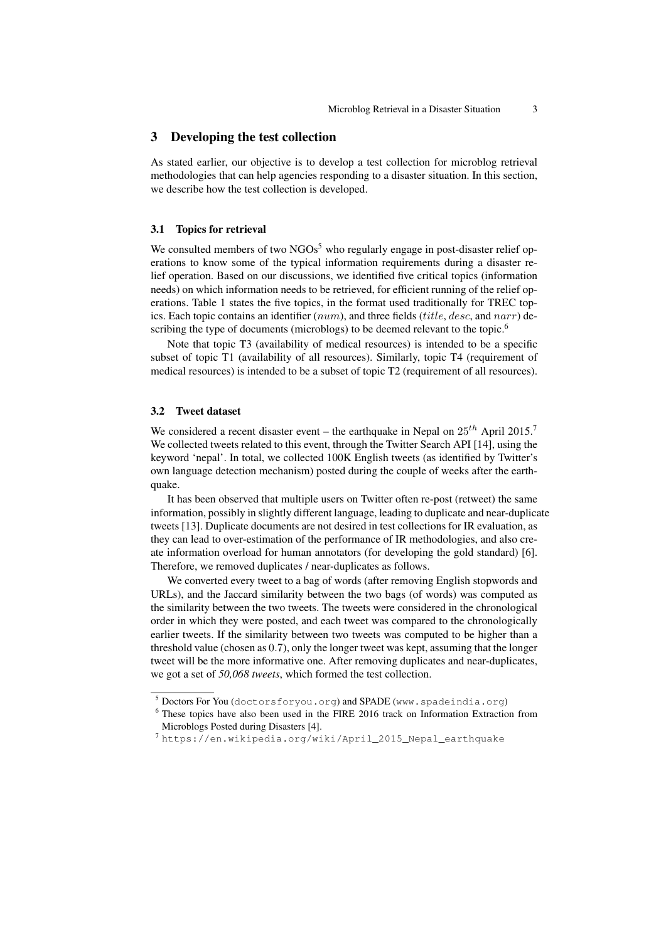## 3 Developing the test collection

As stated earlier, our objective is to develop a test collection for microblog retrieval methodologies that can help agencies responding to a disaster situation. In this section, we describe how the test collection is developed.

#### 3.1 Topics for retrieval

We consulted members of two  $NGOs<sup>5</sup>$  who regularly engage in post-disaster relief operations to know some of the typical information requirements during a disaster relief operation. Based on our discussions, we identified five critical topics (information needs) on which information needs to be retrieved, for efficient running of the relief operations. Table 1 states the five topics, in the format used traditionally for TREC topics. Each topic contains an identifier  $(num)$ , and three fields (*title, desc,* and  $narr$ ) describing the type of documents (microblogs) to be deemed relevant to the topic.<sup>6</sup>

Note that topic T3 (availability of medical resources) is intended to be a specific subset of topic T1 (availability of all resources). Similarly, topic T4 (requirement of medical resources) is intended to be a subset of topic T2 (requirement of all resources).

## 3.2 Tweet dataset

We considered a recent disaster event – the earthquake in Nepal on  $25^{th}$  April 2015.<sup>7</sup> We collected tweets related to this event, through the Twitter Search API [14], using the keyword 'nepal'. In total, we collected 100K English tweets (as identified by Twitter's own language detection mechanism) posted during the couple of weeks after the earthquake.

It has been observed that multiple users on Twitter often re-post (retweet) the same information, possibly in slightly different language, leading to duplicate and near-duplicate tweets [13]. Duplicate documents are not desired in test collections for IR evaluation, as they can lead to over-estimation of the performance of IR methodologies, and also create information overload for human annotators (for developing the gold standard) [6]. Therefore, we removed duplicates / near-duplicates as follows.

We converted every tweet to a bag of words (after removing English stopwords and URLs), and the Jaccard similarity between the two bags (of words) was computed as the similarity between the two tweets. The tweets were considered in the chronological order in which they were posted, and each tweet was compared to the chronologically earlier tweets. If the similarity between two tweets was computed to be higher than a threshold value (chosen as 0.7), only the longer tweet was kept, assuming that the longer tweet will be the more informative one. After removing duplicates and near-duplicates, we got a set of *50,068 tweets*, which formed the test collection.

 $5$  Doctors For You (doctorsforyou.org) and SPADE (www.spadeindia.org)

<sup>6</sup> These topics have also been used in the FIRE 2016 track on Information Extraction from Microblogs Posted during Disasters [4].

<sup>7</sup> https://en.wikipedia.org/wiki/April\_2015\_Nepal\_earthquake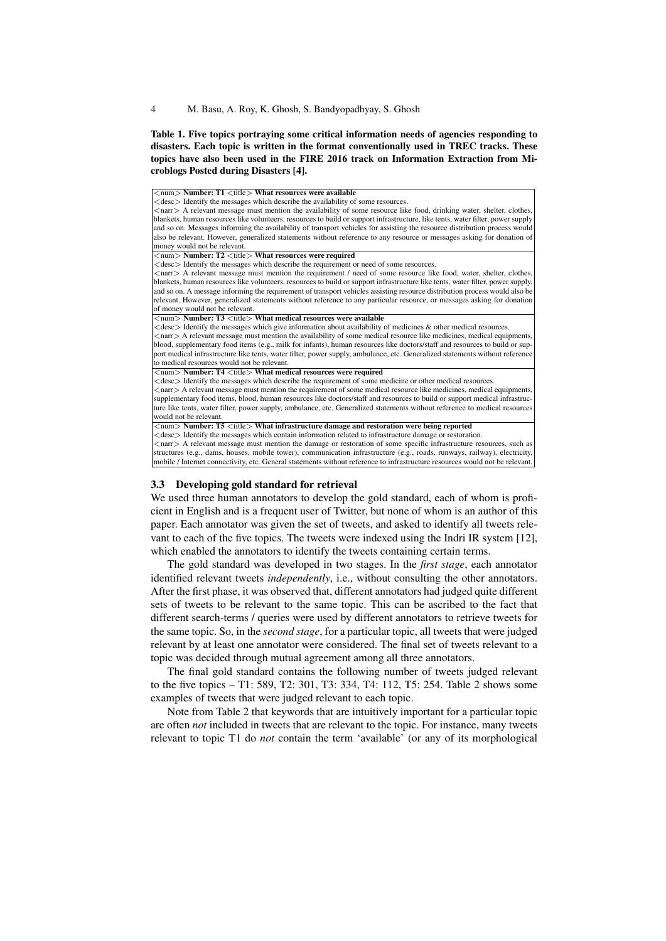## Table 1. Five topics portraying some critical information needs of agencies responding to disasters. Each topic is written in the format conventionally used in TREC tracks. These topics have also been used in the FIRE 2016 track on Information Extraction from Microblogs Posted during Disasters [4].

| $\langle$ num $\rangle$ Number: T1 $\langle$ title $\rangle$ What resources were available                                       |  |
|----------------------------------------------------------------------------------------------------------------------------------|--|
| $\langle$ desc $\rangle$ Identify the messages which describe the availability of some resources.                                |  |
| <narr> A relevant message must mention the availability of some resource like food, drinking water, shelter, clothes,</narr>     |  |
| blankets, human resources like volunteers, resources to build or support infrastructure, like tents, water filter, power supply  |  |
| and so on. Messages informing the availability of transport vehicles for assisting the resource distribution process would       |  |
| also be relevant. However, generalized statements without reference to any resource or messages asking for donation of           |  |
| money would not be relevant.                                                                                                     |  |
| $\langle$ num $\rangle$ Number: T2 $\langle$ title $\rangle$ What resources were required                                        |  |
| <desc> Identify the messages which describe the requirement or need of some resources.</desc>                                    |  |
| <narr> A relevant message must mention the requirement / need of some resource like food, water, shelter, clothes,</narr>        |  |
| blankets, human resources like volunteers, resources to build or support infrastructure like tents, water filter, power supply,  |  |
| and so on. A message informing the requirement of transport vehicles assisting resource distribution process would also be       |  |
| relevant. However, generalized statements without reference to any particular resource, or messages asking for donation          |  |
| of money would not be relevant.                                                                                                  |  |
| $\langle$ num $\rangle$ Number: T3 $\langle$ title $\rangle$ What medical resources were available                               |  |
| $\langle$ desc $\rangle$ Identify the messages which give information about availability of medicines & other medical resources. |  |
| <narr> A relevant message must mention the availability of some medical resource like medicines, medical equipments,</narr>      |  |
| blood, supplementary food items (e.g., milk for infants), human resources like doctors/staff and resources to build or sup-      |  |
| port medical infrastructure like tents, water filter, power supply, ambulance, etc. Generalized statements without reference     |  |
| to medical resources would not be relevant.                                                                                      |  |
| $\langle$ num $\rangle$ Number: T4 $\langle$ title $\rangle$ What medical resources were required                                |  |
| <desc> Identify the messages which describe the requirement of some medicine or other medical resources.</desc>                  |  |
| <narr> A relevant message must mention the requirement of some medical resource like medicines, medical equipments,</narr>       |  |
| supplementary food items, blood, human resources like doctors/staff and resources to build or support medical infrastruc-        |  |
| ture like tents, water filter, power supply, ambulance, etc. Generalized statements without reference to medical resources       |  |
| would not be relevant.                                                                                                           |  |
| $\langle$ num $\rangle$ Number: T5 $\langle$ title $\rangle$ What infrastructure damage and restoration were being reported      |  |
| <desc> Identify the messages which contain information related to infrastructure damage or restoration.</desc>                   |  |
| <narr> A relevant message must mention the damage or restoration of some specific infrastructure resources, such as</narr>       |  |
| structures (e.g., dams, houses, mobile tower), communication infrastructure (e.g., roads, runways, railway), electricity,        |  |
| mobile / Internet connectivity, etc. General statements without reference to infrastructure resources would not be relevant.     |  |

#### 3.3 Developing gold standard for retrieval

We used three human annotators to develop the gold standard, each of whom is proficient in English and is a frequent user of Twitter, but none of whom is an author of this paper. Each annotator was given the set of tweets, and asked to identify all tweets relevant to each of the five topics. The tweets were indexed using the Indri IR system [12], which enabled the annotators to identify the tweets containing certain terms.

The gold standard was developed in two stages. In the *first stage*, each annotator identified relevant tweets *independently*, i.e., without consulting the other annotators. After the first phase, it was observed that, different annotators had judged quite different sets of tweets to be relevant to the same topic. This can be ascribed to the fact that different search-terms / queries were used by different annotators to retrieve tweets for the same topic. So, in the *second stage*, for a particular topic, all tweets that were judged relevant by at least one annotator were considered. The final set of tweets relevant to a topic was decided through mutual agreement among all three annotators.

The final gold standard contains the following number of tweets judged relevant to the five topics – T1: 589, T2: 301, T3: 334, T4: 112, T5: 254. Table 2 shows some examples of tweets that were judged relevant to each topic.

Note from Table 2 that keywords that are intuitively important for a particular topic are often *not* included in tweets that are relevant to the topic. For instance, many tweets relevant to topic T1 do *not* contain the term 'available' (or any of its morphological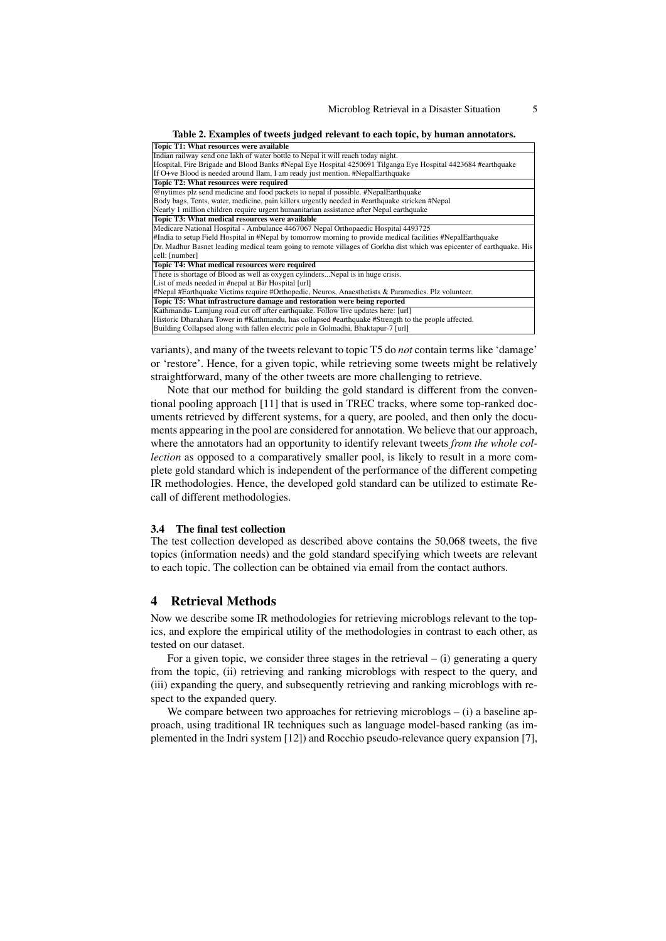| Topic T1: What resources were available                                                                               |
|-----------------------------------------------------------------------------------------------------------------------|
| Indian railway send one lakh of water bottle to Nepal it will reach today night.                                      |
| Hospital, Fire Brigade and Blood Banks #Nepal Eye Hospital 4250691 Tilganga Eye Hospital 4423684 #earthquake          |
| If O+ve Blood is needed around Ilam, I am ready just mention. #NepalEarthquake                                        |
| Topic T2: What resources were required                                                                                |
| @nytimes plz send medicine and food packets to nepal if possible. #NepalEarthquake                                    |
| Body bags, Tents, water, medicine, pain killers urgently needed in #earthquake stricken #Nepal                        |
| Nearly 1 million children require urgent humanitarian assistance after Nepal earthquake                               |
| Topic T3: What medical resources were available                                                                       |
| Medicare National Hospital - Ambulance 4467067 Nepal Orthopaedic Hospital 4493725                                     |
| #India to setup Field Hospital in #Nepal by tomorrow morning to provide medical facilities #NepalEarthquake           |
| Dr. Madhur Basnet leading medical team going to remote villages of Gorkha dist which was epicenter of earthquake. His |
| cell: [number]                                                                                                        |
| Topic T4: What medical resources were required                                                                        |
| There is shortage of Blood as well as oxygen cylindersNepal is in huge crisis.                                        |
| List of meds needed in #nepal at Bir Hospital [url]                                                                   |
| #Nepal #Earthquake Victims require #Orthopedic, Neuros, Anaesthetists & Paramedics. Plz volunteer.                    |
| Topic T5: What infrastructure damage and restoration were being reported                                              |
| Kathmandu-Lamjung road cut off after earthquake. Follow live updates here: [url]                                      |
| Historic Dharahara Tower in #Kathmandu, has collapsed #earthquake #Strength to the people affected.                   |
| Building Collapsed along with fallen electric pole in Golmadhi, Bhaktapur-7 [url]                                     |
|                                                                                                                       |

variants), and many of the tweets relevant to topic T5 do *not* contain terms like 'damage' or 'restore'. Hence, for a given topic, while retrieving some tweets might be relatively straightforward, many of the other tweets are more challenging to retrieve.

Note that our method for building the gold standard is different from the conventional pooling approach [11] that is used in TREC tracks, where some top-ranked documents retrieved by different systems, for a query, are pooled, and then only the documents appearing in the pool are considered for annotation. We believe that our approach, where the annotators had an opportunity to identify relevant tweets *from the whole collection* as opposed to a comparatively smaller pool, is likely to result in a more complete gold standard which is independent of the performance of the different competing IR methodologies. Hence, the developed gold standard can be utilized to estimate Recall of different methodologies.

#### 3.4 The final test collection

The test collection developed as described above contains the 50,068 tweets, the five topics (information needs) and the gold standard specifying which tweets are relevant to each topic. The collection can be obtained via email from the contact authors.

## 4 Retrieval Methods

Now we describe some IR methodologies for retrieving microblogs relevant to the topics, and explore the empirical utility of the methodologies in contrast to each other, as tested on our dataset.

For a given topic, we consider three stages in the retrieval  $-$  (i) generating a query from the topic, (ii) retrieving and ranking microblogs with respect to the query, and (iii) expanding the query, and subsequently retrieving and ranking microblogs with respect to the expanded query.

We compare between two approaches for retrieving microblogs – (i) a baseline approach, using traditional IR techniques such as language model-based ranking (as implemented in the Indri system [12]) and Rocchio pseudo-relevance query expansion [7],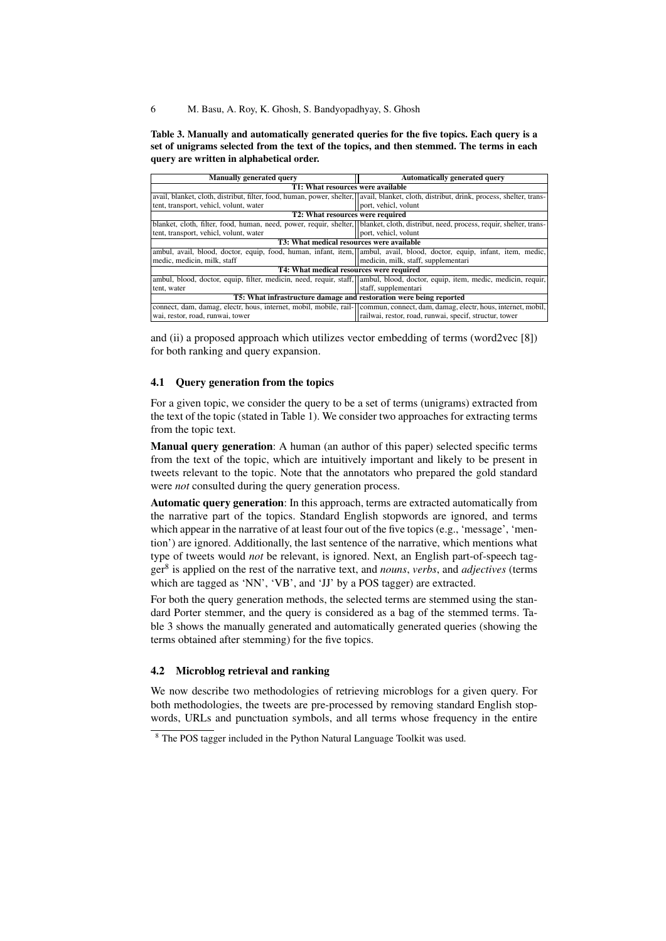6 M. Basu, A. Roy, K. Ghosh, S. Bandyopadhyay, S. Ghosh

Table 3. Manually and automatically generated queries for the five topics. Each query is a set of unigrams selected from the text of the topics, and then stemmed. The terms in each query are written in alphabetical order.

| <b>Manually generated query</b>                                                                                                            | <b>Automatically generated query</b>                   |  |  |  |  |  |
|--------------------------------------------------------------------------------------------------------------------------------------------|--------------------------------------------------------|--|--|--|--|--|
| T1: What resources were available                                                                                                          |                                                        |  |  |  |  |  |
| avail, blanket, cloth, distribut, filter, food, human, power, shelter,   avail, blanket, cloth, distribut, drink, process, shelter, trans- |                                                        |  |  |  |  |  |
| tent, transport, vehicl, volunt, water                                                                                                     | port, vehicl, volunt                                   |  |  |  |  |  |
| T2: What resources were required                                                                                                           |                                                        |  |  |  |  |  |
| blanket, cloth, filter, food, human, need, power, requir, shelter, blanket, cloth, distribut, need, process, requir, shelter, trans-       |                                                        |  |  |  |  |  |
| tent, transport, vehicl, volunt, water                                                                                                     | port, vehicl, volunt                                   |  |  |  |  |  |
| <b>T3: What medical resources were available</b>                                                                                           |                                                        |  |  |  |  |  |
| ambul, avail, blood, doctor, equip, food, human, infant, item,   ambul, avail, blood, doctor, equip, infant, item, medic,                  |                                                        |  |  |  |  |  |
| medic, medicin, milk, staff                                                                                                                | medicin, milk, staff, supplementari                    |  |  |  |  |  |
| T4: What medical resources were required                                                                                                   |                                                        |  |  |  |  |  |
| ambul, blood, doctor, equip, filter, medicin, need, requir, staff, ambul, blood, doctor, equip, item, medic, medicin, requir,              |                                                        |  |  |  |  |  |
| tent, water                                                                                                                                | staff, supplementari                                   |  |  |  |  |  |
| T5: What infrastructure damage and restoration were being reported                                                                         |                                                        |  |  |  |  |  |
| connect, dam, damag, electr, hous, internet, mobil, mobile, rail-  commun, connect, dam, damag, electr, hous, internet, mobil,             |                                                        |  |  |  |  |  |
| wai, restor, road, runwai, tower                                                                                                           | railwai, restor, road, runwai, specif, structur, tower |  |  |  |  |  |
|                                                                                                                                            |                                                        |  |  |  |  |  |

and (ii) a proposed approach which utilizes vector embedding of terms (word2vec [8]) for both ranking and query expansion.

#### 4.1 Query generation from the topics

For a given topic, we consider the query to be a set of terms (unigrams) extracted from the text of the topic (stated in Table 1). We consider two approaches for extracting terms from the topic text.

Manual query generation: A human (an author of this paper) selected specific terms from the text of the topic, which are intuitively important and likely to be present in tweets relevant to the topic. Note that the annotators who prepared the gold standard were *not* consulted during the query generation process.

Automatic query generation: In this approach, terms are extracted automatically from the narrative part of the topics. Standard English stopwords are ignored, and terms which appear in the narrative of at least four out of the five topics (e.g., 'message', 'mention') are ignored. Additionally, the last sentence of the narrative, which mentions what type of tweets would *not* be relevant, is ignored. Next, an English part-of-speech tagger<sup>8</sup> is applied on the rest of the narrative text, and *nouns*, *verbs*, and *adjectives* (terms which are tagged as 'NN', 'VB', and 'JJ' by a POS tagger) are extracted.

For both the query generation methods, the selected terms are stemmed using the standard Porter stemmer, and the query is considered as a bag of the stemmed terms. Table 3 shows the manually generated and automatically generated queries (showing the terms obtained after stemming) for the five topics.

## 4.2 Microblog retrieval and ranking

We now describe two methodologies of retrieving microblogs for a given query. For both methodologies, the tweets are pre-processed by removing standard English stopwords, URLs and punctuation symbols, and all terms whose frequency in the entire

<sup>&</sup>lt;sup>8</sup> The POS tagger included in the Python Natural Language Toolkit was used.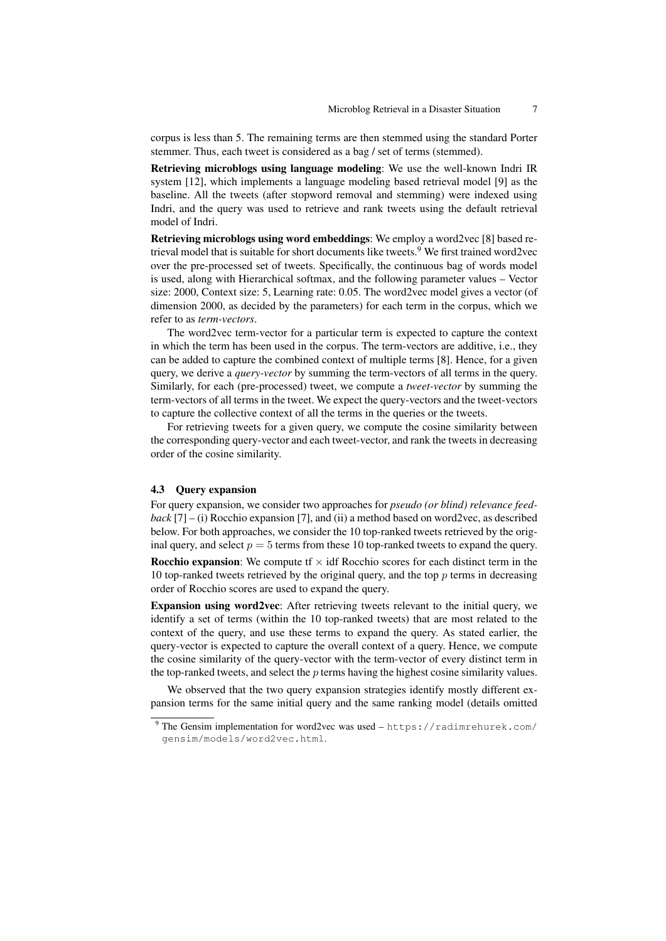corpus is less than 5. The remaining terms are then stemmed using the standard Porter stemmer. Thus, each tweet is considered as a bag / set of terms (stemmed).

Retrieving microblogs using language modeling: We use the well-known Indri IR system [12], which implements a language modeling based retrieval model [9] as the baseline. All the tweets (after stopword removal and stemming) were indexed using Indri, and the query was used to retrieve and rank tweets using the default retrieval model of Indri.

Retrieving microblogs using word embeddings: We employ a word2vec [8] based retrieval model that is suitable for short documents like tweets.<sup>9</sup> We first trained word2vec over the pre-processed set of tweets. Specifically, the continuous bag of words model is used, along with Hierarchical softmax, and the following parameter values – Vector size: 2000, Context size: 5, Learning rate: 0.05. The word2vec model gives a vector (of dimension 2000, as decided by the parameters) for each term in the corpus, which we refer to as *term-vectors*.

The word2vec term-vector for a particular term is expected to capture the context in which the term has been used in the corpus. The term-vectors are additive, i.e., they can be added to capture the combined context of multiple terms [8]. Hence, for a given query, we derive a *query-vector* by summing the term-vectors of all terms in the query. Similarly, for each (pre-processed) tweet, we compute a *tweet-vector* by summing the term-vectors of all terms in the tweet. We expect the query-vectors and the tweet-vectors to capture the collective context of all the terms in the queries or the tweets.

For retrieving tweets for a given query, we compute the cosine similarity between the corresponding query-vector and each tweet-vector, and rank the tweets in decreasing order of the cosine similarity.

#### 4.3 Query expansion

For query expansion, we consider two approaches for *pseudo (or blind) relevance feedback* [7] – (i) Rocchio expansion [7], and (ii) a method based on word2vec, as described below. For both approaches, we consider the 10 top-ranked tweets retrieved by the original query, and select  $p = 5$  terms from these 10 top-ranked tweets to expand the query. **Rocchio expansion:** We compute  $f \times \text{id} f$  Rocchio scores for each distinct term in the 10 top-ranked tweets retrieved by the original query, and the top  $p$  terms in decreasing order of Rocchio scores are used to expand the query.

Expansion using word2vec: After retrieving tweets relevant to the initial query, we identify a set of terms (within the 10 top-ranked tweets) that are most related to the context of the query, and use these terms to expand the query. As stated earlier, the query-vector is expected to capture the overall context of a query. Hence, we compute the cosine similarity of the query-vector with the term-vector of every distinct term in the top-ranked tweets, and select the  $p$  terms having the highest cosine similarity values.

We observed that the two query expansion strategies identify mostly different expansion terms for the same initial query and the same ranking model (details omitted

<sup>&</sup>lt;sup>9</sup> The Gensim implementation for word2vec was used - https://radimrehurek.com/ gensim/models/word2vec.html.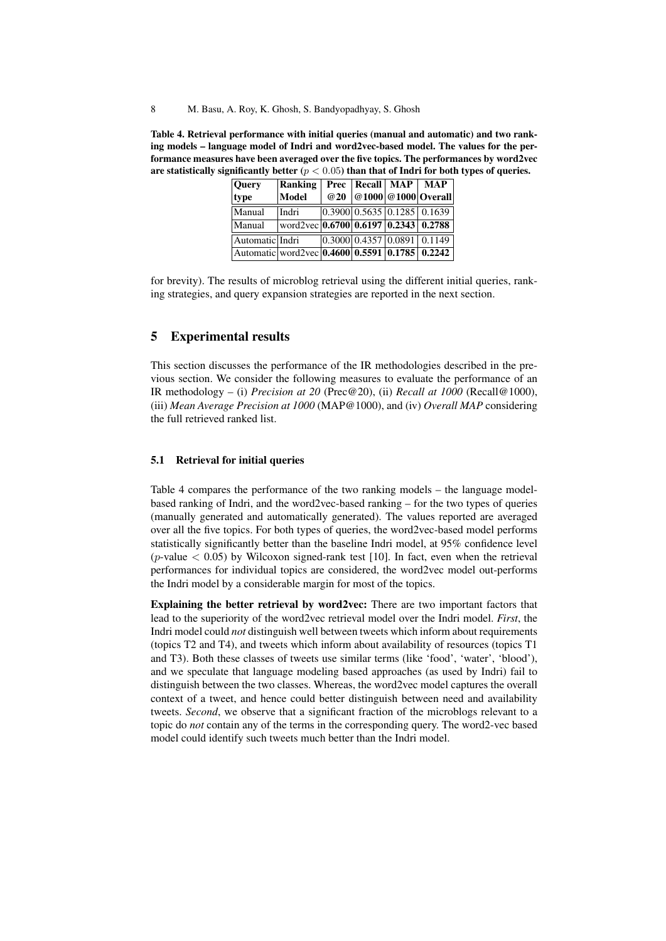Table 4. Retrieval performance with initial queries (manual and automatic) and two ranking models – language model of Indri and word2vec-based model. The values for the performance measures have been averaged over the five topics. The performances by word2vec are statistically significantly better ( $p < 0.05$ ) than that of Indri for both types of queries.

| Query                                          | Ranking                                                                                              |     | Prec   Recall   MAP                          | <b>MAP</b>          |
|------------------------------------------------|------------------------------------------------------------------------------------------------------|-----|----------------------------------------------|---------------------|
| type                                           | <b>Model</b>                                                                                         | @20 |                                              | @1000 @1000 Overall |
| Manual                                         | Indri                                                                                                |     | $0.3900 \mid 0.5635 \mid 0.1285 \mid 0.1639$ |                     |
| Manual                                         | $\sqrt{\text{word2vec}\left[0.6700\right]\left[0.6197\right]\left[0.2343\right]\left[0.2788\right]}$ |     |                                              |                     |
| Automatic Indri                                |                                                                                                      |     | 0.300000.435700.08910.1149                   |                     |
| Automatic word2vec 0.4600 0.5591 0.1785 0.2242 |                                                                                                      |     |                                              |                     |

for brevity). The results of microblog retrieval using the different initial queries, ranking strategies, and query expansion strategies are reported in the next section.

## 5 Experimental results

This section discusses the performance of the IR methodologies described in the previous section. We consider the following measures to evaluate the performance of an IR methodology – (i) *Precision at 20* (Prec@20), (ii) *Recall at 1000* (Recall@1000), (iii) *Mean Average Precision at 1000* (MAP@1000), and (iv) *Overall MAP* considering the full retrieved ranked list.

## 5.1 Retrieval for initial queries

Table 4 compares the performance of the two ranking models – the language modelbased ranking of Indri, and the word2vec-based ranking – for the two types of queries (manually generated and automatically generated). The values reported are averaged over all the five topics. For both types of queries, the word2vec-based model performs statistically significantly better than the baseline Indri model, at 95% confidence level (*p*-value  $\lt$  0.05) by Wilcoxon signed-rank test [10]. In fact, even when the retrieval performances for individual topics are considered, the word2vec model out-performs the Indri model by a considerable margin for most of the topics.

Explaining the better retrieval by word2vec: There are two important factors that lead to the superiority of the word2vec retrieval model over the Indri model. *First*, the Indri model could *not* distinguish well between tweets which inform about requirements (topics T2 and T4), and tweets which inform about availability of resources (topics T1 and T3). Both these classes of tweets use similar terms (like 'food', 'water', 'blood'), and we speculate that language modeling based approaches (as used by Indri) fail to distinguish between the two classes. Whereas, the word2vec model captures the overall context of a tweet, and hence could better distinguish between need and availability tweets. *Second*, we observe that a significant fraction of the microblogs relevant to a topic do *not* contain any of the terms in the corresponding query. The word2-vec based model could identify such tweets much better than the Indri model.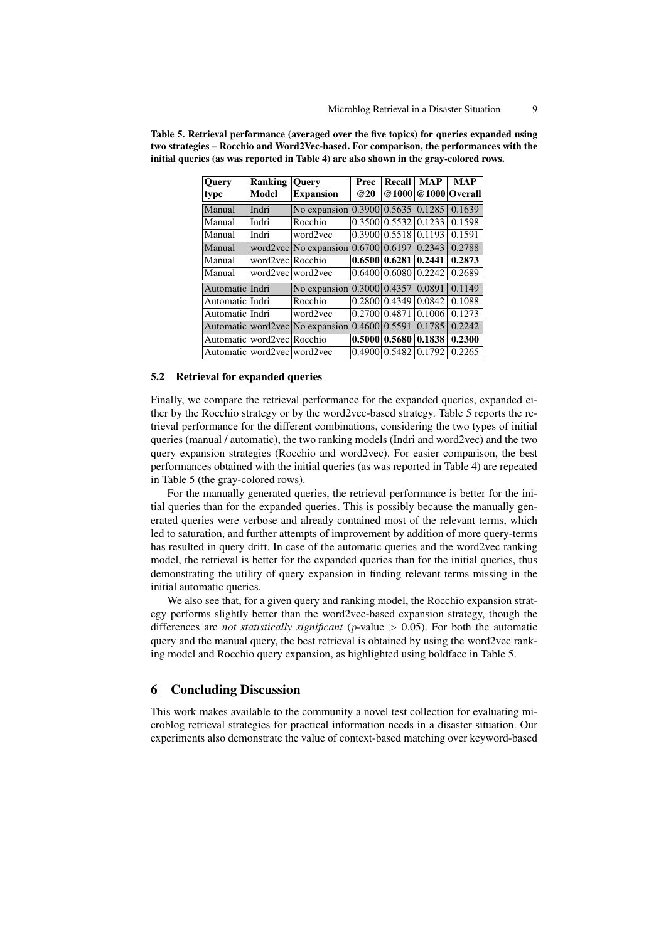| <b>Query</b>                   | <b>Ranking</b>   | <b>Ouery</b>                      | Prec            | <b>Recall</b>            | <b>MAP</b> | <b>MAP</b>          |
|--------------------------------|------------------|-----------------------------------|-----------------|--------------------------|------------|---------------------|
| type                           | Model            | <b>Expansion</b>                  | <b>@20</b>      |                          |            | @1000 @1000 Overall |
| Manual                         | Indri            | No expansion 0.3900 0.5635 0.1285 |                 |                          |            | 0.1639              |
| Manual                         | Indri            | Rocchio                           |                 | 0.350010.553210.1233     |            | 0.1598              |
| Manual                         | Indri            | word2vec                          |                 | 0.3900   0.5518   0.1193 |            | 0.1591              |
| Manual                         |                  | word2vec $\vert$ No expansion     |                 | [0.6700] 0.6197] 0.2343  |            | 0.2788              |
| Manual                         | word2vec Rocchio |                                   |                 | 0.6500   0.6281   0.2441 |            | 0.2873              |
| Manual                         |                  | word2vec word2vec                 |                 | 0.6400   0.6080   0.2242 |            | 0.2689              |
| Automatic Indri                |                  | No expansion 0.3000 0.4357 0.0891 |                 |                          |            | 0.1149              |
| Automatic Indri                |                  | Rocchio                           |                 | 0.2800   0.4349   0.0842 |            | 0.1088              |
| Automatic Indri                |                  | word2vec                          | 0.2700   0.4871 |                          | 0.1006     | 0.1273              |
|                                |                  | Automatic word2vec No expansion   | 0.4600   0.5591 |                          | 0.1785     | 0.2242              |
| Automatic   word2vec   Rocchio |                  |                                   |                 | 0.500010.5680            | 0.1838     | 0.2300              |
| Automatic word2vec word2vec    |                  |                                   |                 | 0.4900(0.5482)           | 0.1792     | 0.2265              |

Table 5. Retrieval performance (averaged over the five topics) for queries expanded using two strategies – Rocchio and Word2Vec-based. For comparison, the performances with the initial queries (as was reported in Table 4) are also shown in the gray-colored rows.

#### 5.2 Retrieval for expanded queries

Finally, we compare the retrieval performance for the expanded queries, expanded either by the Rocchio strategy or by the word2vec-based strategy. Table 5 reports the retrieval performance for the different combinations, considering the two types of initial queries (manual / automatic), the two ranking models (Indri and word2vec) and the two query expansion strategies (Rocchio and word2vec). For easier comparison, the best performances obtained with the initial queries (as was reported in Table 4) are repeated in Table 5 (the gray-colored rows).

For the manually generated queries, the retrieval performance is better for the initial queries than for the expanded queries. This is possibly because the manually generated queries were verbose and already contained most of the relevant terms, which led to saturation, and further attempts of improvement by addition of more query-terms has resulted in query drift. In case of the automatic queries and the word2vec ranking model, the retrieval is better for the expanded queries than for the initial queries, thus demonstrating the utility of query expansion in finding relevant terms missing in the initial automatic queries.

We also see that, for a given query and ranking model, the Rocchio expansion strategy performs slightly better than the word2vec-based expansion strategy, though the differences are *not statistically significant* (p-value > 0.05). For both the automatic query and the manual query, the best retrieval is obtained by using the word2vec ranking model and Rocchio query expansion, as highlighted using boldface in Table 5.

# 6 Concluding Discussion

This work makes available to the community a novel test collection for evaluating microblog retrieval strategies for practical information needs in a disaster situation. Our experiments also demonstrate the value of context-based matching over keyword-based